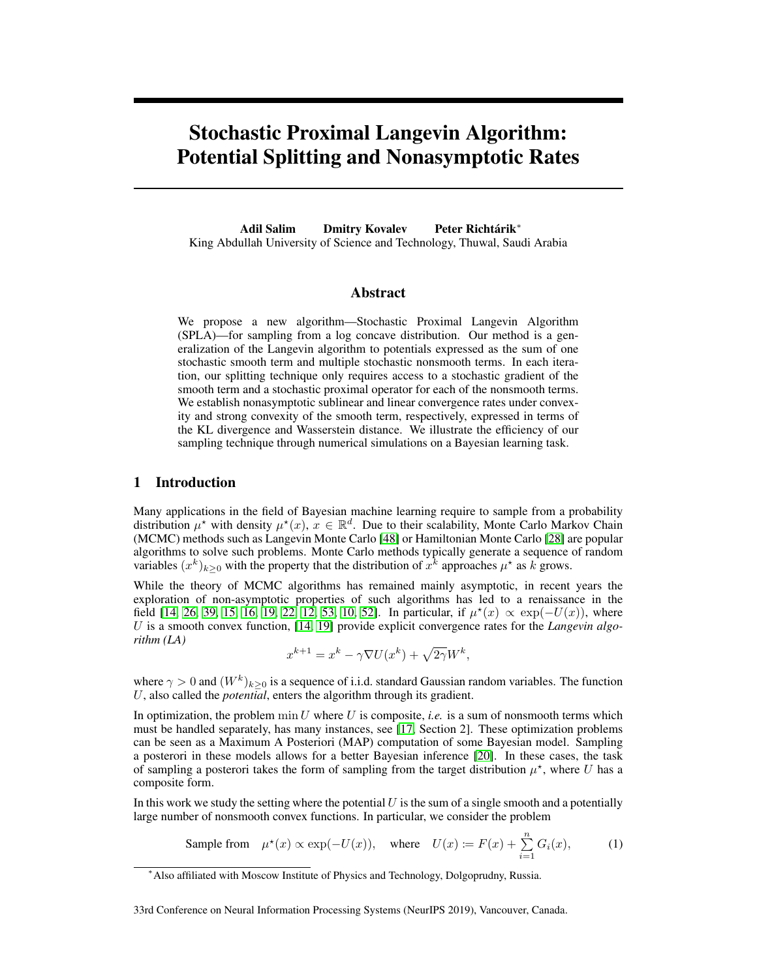# Stochastic Proximal Langevin Algorithm: Potential Splitting and Nonasymptotic Rates

Adil Salim Dmitry Kovalev Peter Richtárik<sup>∗</sup> King Abdullah University of Science and Technology, Thuwal, Saudi Arabia

## Abstract

We propose a new algorithm—Stochastic Proximal Langevin Algorithm (SPLA)—for sampling from a log concave distribution. Our method is a generalization of the Langevin algorithm to potentials expressed as the sum of one stochastic smooth term and multiple stochastic nonsmooth terms. In each iteration, our splitting technique only requires access to a stochastic gradient of the smooth term and a stochastic proximal operator for each of the nonsmooth terms. We establish nonasymptotic sublinear and linear convergence rates under convexity and strong convexity of the smooth term, respectively, expressed in terms of the KL divergence and Wasserstein distance. We illustrate the efficiency of our sampling technique through numerical simulations on a Bayesian learning task.

## 1 Introduction

Many applications in the field of Bayesian machine learning require to sample from a probability distribution  $\mu^*$  with density  $\mu^*(x)$ ,  $x \in \mathbb{R}^d$ . Due to their scalability, Monte Carlo Markov Chain (MCMC) methods such as Langevin Monte Carlo [\[48\]](#page-11-0) or Hamiltonian Monte Carlo [\[28\]](#page-10-0) are popular algorithms to solve such problems. Monte Carlo methods typically generate a sequence of random variables  $(x^k)_{k\geq 0}$  with the property that the distribution of  $x^k$  approaches  $\mu^*$  as k grows.

While the theory of MCMC algorithms has remained mainly asymptotic, in recent years the exploration of non-asymptotic properties of such algorithms has led to a renaissance in the field [\[14,](#page-9-0) [26,](#page-10-1) [39,](#page-10-2) [15,](#page-9-1) [16,](#page-9-2) [19,](#page-9-3) [22,](#page-10-3) [12,](#page-9-4) [53,](#page-11-1) [10,](#page-9-5) [52\]](#page-11-2). In particular, if  $\mu^*(x) \propto \exp(-U(x))$ , where U is a smooth convex function, [\[14,](#page-9-0) [19\]](#page-9-3) provide explicit convergence rates for the *Langevin algorithm (LA)*

<span id="page-0-0"></span>
$$
x^{k+1} = x^k - \gamma \nabla U(x^k) + \sqrt{2\gamma} W^k,
$$

where  $\gamma > 0$  and  $(W^k)_{k \geq 0}$  is a sequence of i.i.d. standard Gaussian random variables. The function U, also called the *potential*, enters the algorithm through its gradient.

In optimization, the problem  $\min U$  where U is composite, *i.e.* is a sum of nonsmooth terms which must be handled separately, has many instances, see [\[17,](#page-9-6) Section 2]. These optimization problems can be seen as a Maximum A Posteriori (MAP) computation of some Bayesian model. Sampling a posterori in these models allows for a better Bayesian inference [\[20\]](#page-10-4). In these cases, the task of sampling a posterori takes the form of sampling from the target distribution  $\mu^*$ , where U has a composite form.

In this work we study the setting where the potential  $U$  is the sum of a single smooth and a potentially large number of nonsmooth convex functions. In particular, we consider the problem

Sample from  $\mu^*(x) \propto \exp(-U(x))$ , where  $U(x) \coloneqq F(x) + \sum_{i=1}^n G_i(x)$ , (1)

33rd Conference on Neural Information Processing Systems (NeurIPS 2019), Vancouver, Canada.

<sup>∗</sup>Also affiliated with Moscow Institute of Physics and Technology, Dolgoprudny, Russia.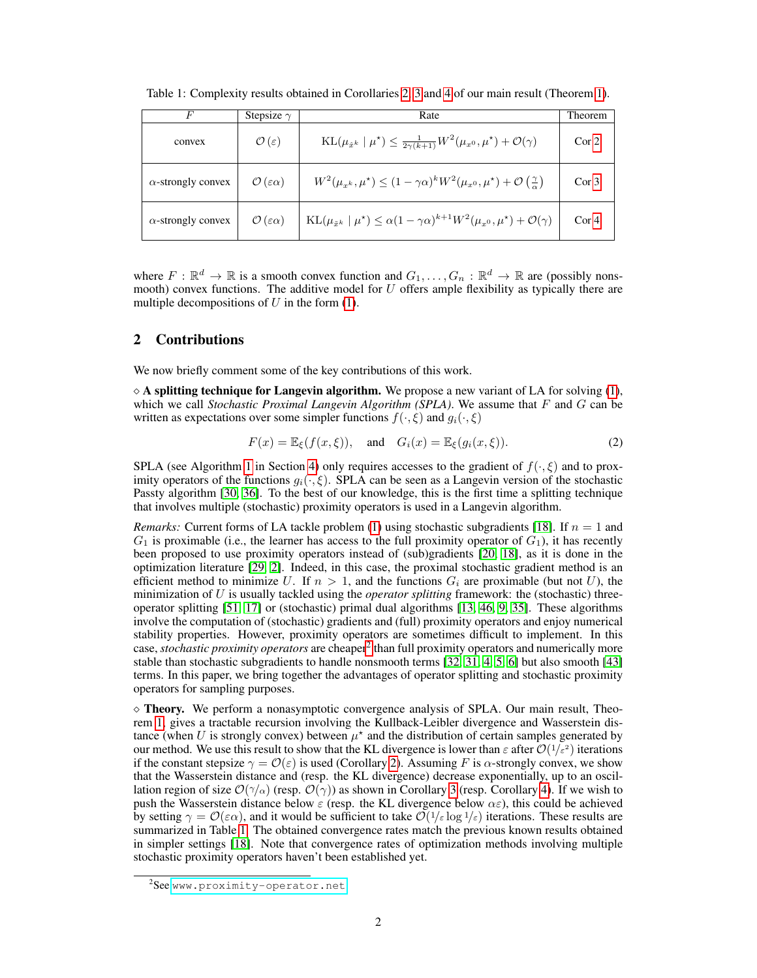| F                         | Stepsize $\gamma$                           | Rate                                                                                                                     | Theorem          |
|---------------------------|---------------------------------------------|--------------------------------------------------------------------------------------------------------------------------|------------------|
| convex                    | $\mathcal{O}(\varepsilon)$                  | $KL(\mu_{\hat{x}^k}   \mu^*) \leq \frac{1}{2\gamma(k+1)} W^2(\mu_{x^0}, \mu^*) + \mathcal{O}(\gamma)$                    | Cor <sub>2</sub> |
| $\alpha$ -strongly convex | $\mathcal{O}\left(\varepsilon\alpha\right)$ | $W^2(\mu_{x^k}, \mu^*) \leq (1 - \gamma \alpha)^k W^2(\mu_{x^0}, \mu^*) + \mathcal{O}\left(\frac{\gamma}{\alpha}\right)$ | Cor <sub>3</sub> |
| $\alpha$ -strongly convex | $\mathcal{O}(\varepsilon\alpha)$            | $KL(\mu_{\tilde{x}^k} \mid \mu^*) \leq \alpha (1 - \gamma \alpha)^{k+1} W^2(\mu_{x^0}, \mu^*) + \mathcal{O}(\gamma)$     | Cor <sub>4</sub> |

<span id="page-1-1"></span>Table 1: Complexity results obtained in Corollaries [2,](#page-5-0) [3](#page-5-1) and [4](#page-6-0) of our main result (Theorem [1\)](#page-4-0).

where  $F : \mathbb{R}^d \to \mathbb{R}$  is a smooth convex function and  $G_1, \ldots, G_n : \mathbb{R}^d \to \mathbb{R}$  are (possibly nonsmooth) convex functions. The additive model for  $U$  offers ample flexibility as typically there are multiple decompositions of  $U$  in the form [\(1\)](#page-0-0).

# 2 Contributions

We now briefly comment some of the key contributions of this work.

 $\diamond$  A splitting technique for Langevin algorithm. We propose a new variant of LA for solving [\(1\)](#page-0-0), which we call *Stochastic Proximal Langevin Algorithm (SPLA)*. We assume that F and G can be written as expectations over some simpler functions  $f(\cdot, \xi)$  and  $q_i(\cdot, \xi)$ 

<span id="page-1-2"></span>
$$
F(x) = \mathbb{E}_{\xi}(f(x,\xi)), \text{ and } G_i(x) = \mathbb{E}_{\xi}(g_i(x,\xi)).
$$
 (2)

SPLA (see Algorithm [1](#page-4-1) in Section [4\)](#page-4-2) only requires accesses to the gradient of  $f(\cdot,\xi)$  and to proximity operators of the functions  $g_i(\cdot, \xi)$ . SPLA can be seen as a Langevin version of the stochastic Passty algorithm [\[30,](#page-10-5) [36\]](#page-10-6). To the best of our knowledge, this is the first time a splitting technique that involves multiple (stochastic) proximity operators is used in a Langevin algorithm.

*Remarks:* Current forms of LA tackle problem [\(1\)](#page-0-0) using stochastic subgradients [\[18\]](#page-9-7). If  $n = 1$  and  $G_1$  is proximable (i.e., the learner has access to the full proximity operator of  $G_1$ ), it has recently been proposed to use proximity operators instead of (sub)gradients [\[20,](#page-10-4) [18\]](#page-9-7), as it is done in the optimization literature [\[29,](#page-10-7) [2\]](#page-9-8). Indeed, in this case, the proximal stochastic gradient method is an efficient method to minimize U. If  $n > 1$ , and the functions  $G_i$  are proximable (but not U), the minimization of U is usually tackled using the *operator splitting* framework: the (stochastic) threeoperator splitting [\[51,](#page-11-3) [17\]](#page-9-6) or (stochastic) primal dual algorithms [\[13,](#page-9-9) [46,](#page-11-4) [9,](#page-9-10) [35\]](#page-10-8). These algorithms involve the computation of (stochastic) gradients and (full) proximity operators and enjoy numerical stability properties. However, proximity operators are sometimes difficult to implement. In this case, *stochastic proximity operators* are cheaper<sup>[2](#page-1-0)</sup> than full proximity operators and numerically more stable than stochastic subgradients to handle nonsmooth terms [\[32,](#page-10-9) [31,](#page-10-10) [4,](#page-9-11) [5,](#page-9-12) [6\]](#page-9-13) but also smooth [\[43\]](#page-11-5) terms. In this paper, we bring together the advantages of operator splitting and stochastic proximity operators for sampling purposes.

 $\diamond$  Theory. We perform a nonasymptotic convergence analysis of SPLA. Our main result, Theorem [1,](#page-4-0) gives a tractable recursion involving the Kullback-Leibler divergence and Wasserstein distance (when U is strongly convex) between  $\mu^*$  and the distribution of certain samples generated by our method. We use this result to show that the KL divergence is lower than  $\varepsilon$  after  $\mathcal{O}(1/\varepsilon^2)$  iterations if the constant stepsize  $\gamma = \mathcal{O}(\varepsilon)$  is used (Corollary [2\)](#page-5-0). Assuming F is  $\alpha$ -strongly convex, we show that the Wasserstein distance and (resp. the KL divergence) decrease exponentially, up to an oscillation region of size  $\mathcal{O}(\gamma/\alpha)$  (resp.  $\mathcal{O}(\gamma)$ ) as shown in Corollary [3](#page-5-1) (resp. Corollary [4\)](#page-6-0). If we wish to push the Wasserstein distance below  $\varepsilon$  (resp. the KL divergence below  $\alpha \varepsilon$ ), this could be achieved by setting  $\gamma = \mathcal{O}(\varepsilon \alpha)$ , and it would be sufficient to take  $\mathcal{O}(1/\varepsilon \log 1/\varepsilon)$  iterations. These results are summarized in Table [1.](#page-1-1) The obtained convergence rates match the previous known results obtained in simpler settings [\[18\]](#page-9-7). Note that convergence rates of optimization methods involving multiple stochastic proximity operators haven't been established yet.

<span id="page-1-0"></span><sup>&</sup>lt;sup>2</sup>See <www.proximity-operator.net>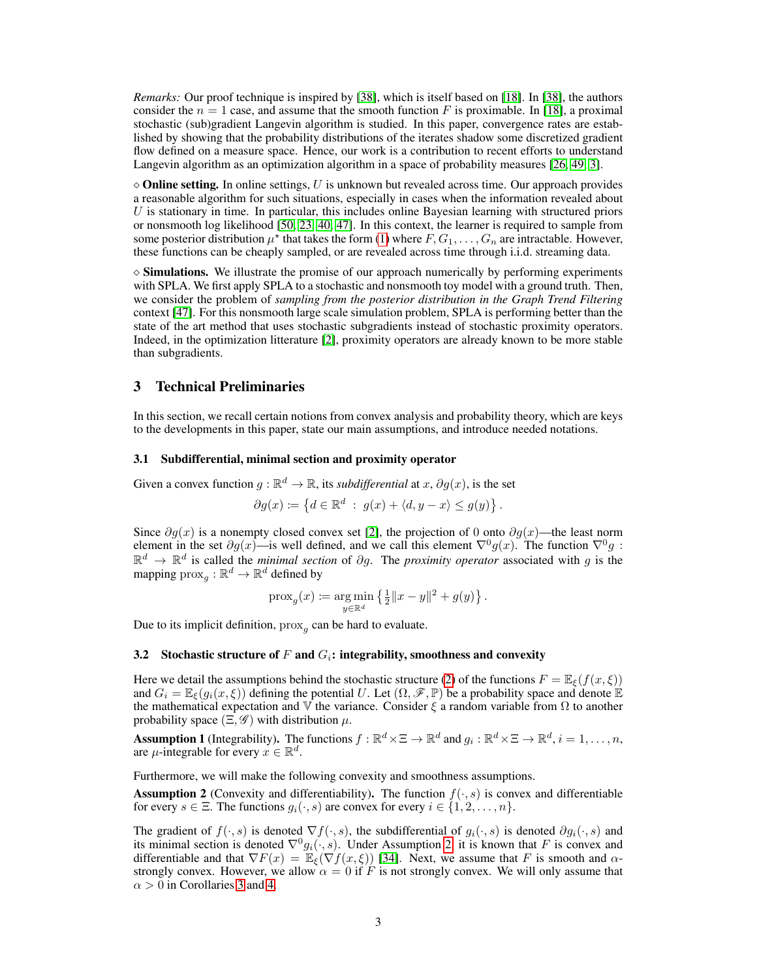*Remarks:* Our proof technique is inspired by [\[38\]](#page-10-11), which is itself based on [\[18\]](#page-9-7). In [\[38\]](#page-10-11), the authors consider the  $n = 1$  case, and assume that the smooth function F is proximable. In [\[18\]](#page-9-7), a proximal stochastic (sub)gradient Langevin algorithm is studied. In this paper, convergence rates are established by showing that the probability distributions of the iterates shadow some discretized gradient flow defined on a measure space. Hence, our work is a contribution to recent efforts to understand Langevin algorithm as an optimization algorithm in a space of probability measures [\[26,](#page-10-1) [49,](#page-11-6) [3\]](#page-9-14).

 $\Diamond$  **Online setting.** In online settings, U is unknown but revealed across time. Our approach provides a reasonable algorithm for such situations, especially in cases when the information revealed about  $U$  is stationary in time. In particular, this includes online Bayesian learning with structured priors or nonsmooth log likelihood [\[50,](#page-11-7) [23,](#page-10-12) [40,](#page-11-8) [47\]](#page-11-9). In this context, the learner is required to sample from some posterior distribution  $\mu^*$  that takes the form [\(1\)](#page-0-0) where  $F, G_1, \ldots, G_n$  are intractable. However, these functions can be cheaply sampled, or are revealed across time through i.i.d. streaming data.

⋄ Simulations. We illustrate the promise of our approach numerically by performing experiments with SPLA. We first apply SPLA to a stochastic and nonsmooth toy model with a ground truth. Then, we consider the problem of *sampling from the posterior distribution in the Graph Trend Filtering* context [\[47\]](#page-11-9). For this nonsmooth large scale simulation problem, SPLA is performing better than the state of the art method that uses stochastic subgradients instead of stochastic proximity operators. Indeed, in the optimization litterature [\[2\]](#page-9-8), proximity operators are already known to be more stable than subgradients.

# 3 Technical Preliminaries

In this section, we recall certain notions from convex analysis and probability theory, which are keys to the developments in this paper, state our main assumptions, and introduce needed notations.

#### 3.1 Subdifferential, minimal section and proximity operator

Given a convex function  $g : \mathbb{R}^d \to \mathbb{R}$ , its *subdifferential* at  $x, \partial g(x)$ , is the set

$$
\partial g(x) \coloneqq \left\{ d \in \mathbb{R}^d \; : \; g(x) + \langle d, y - x \rangle \le g(y) \right\}.
$$

Since  $\partial g(x)$  is a nonempty closed convex set [\[2\]](#page-9-8), the projection of 0 onto  $\partial g(x)$ —the least norm element in the set  $\partial g(x)$ —is well defined, and we call this element  $\nabla^0 g(x)$ . The function  $\nabla^0 g$ :  $\mathbb{R}^d \to \mathbb{R}^d$  is called the *minimal section* of  $\partial g$ . The *proximity operator* associated with g is the mapping  $\mathrm{prox}_{g}: \mathbb{R}^d \to \mathbb{R}^d$  defined by

$$
\text{prox}_{g}(x) \coloneqq \argmin_{y \in \mathbb{R}^d} \left\{ \frac{1}{2} ||x - y||^2 + g(y) \right\}.
$$

Due to its implicit definition,  $prox_g$  can be hard to evaluate.

#### 3.2 Stochastic structure of F and  $G_i$ : integrability, smoothness and convexity

Here we detail the assumptions behind the stochastic structure [\(2\)](#page-1-2) of the functions  $F = \mathbb{E}_{\xi}(f(x, \xi))$ and  $G_i = \mathbb{E}_{\xi}(g_i(x, \xi))$  defining the potential U. Let  $(\Omega, \mathscr{F}, \mathbb{P})$  be a probability space and denote  $\mathbb{E}_{\xi}$ the mathematical expectation and V the variance. Consider  $\xi$  a random variable from  $\Omega$  to another probability space  $(\Xi, \mathscr{G})$  with distribution  $\mu$ .

<span id="page-2-1"></span>**Assumption 1** (Integrability). The functions  $f : \mathbb{R}^d \times \Xi \to \mathbb{R}^d$  and  $g_i : \mathbb{R}^d \times \Xi \to \mathbb{R}^d$ ,  $i = 1, \ldots, n$ , are  $\mu$ -integrable for every  $x \in \mathbb{R}^d$ .

Furthermore, we will make the following convexity and smoothness assumptions.

<span id="page-2-0"></span>**Assumption 2** (Convexity and differentiability). The function  $f(\cdot, s)$  is convex and differentiable for every  $s \in \Xi$ . The functions  $g_i(\cdot, s)$  are convex for every  $i \in \{1, 2, \ldots, n\}$ .

The gradient of  $f(\cdot, s)$  is denoted  $\nabla f(\cdot, s)$ , the subdifferential of  $g_i(\cdot, s)$  is denoted  $\partial g_i(\cdot, s)$  and its minimal section is denoted  $\nabla^0 g_i(\cdot, s)$ . Under Assumption [2,](#page-2-0) it is known that F is convex and differentiable and that  $\nabla F(x) = \mathbb{E}_{\xi}(\nabla f(x, \xi))$  [\[34\]](#page-10-13). Next, we assume that F is smooth and  $\alpha$ strongly convex. However, we allow  $\alpha = 0$  if F is not strongly convex. We will only assume that  $\alpha > 0$  in Corollaries [3](#page-5-1) and [4.](#page-6-0)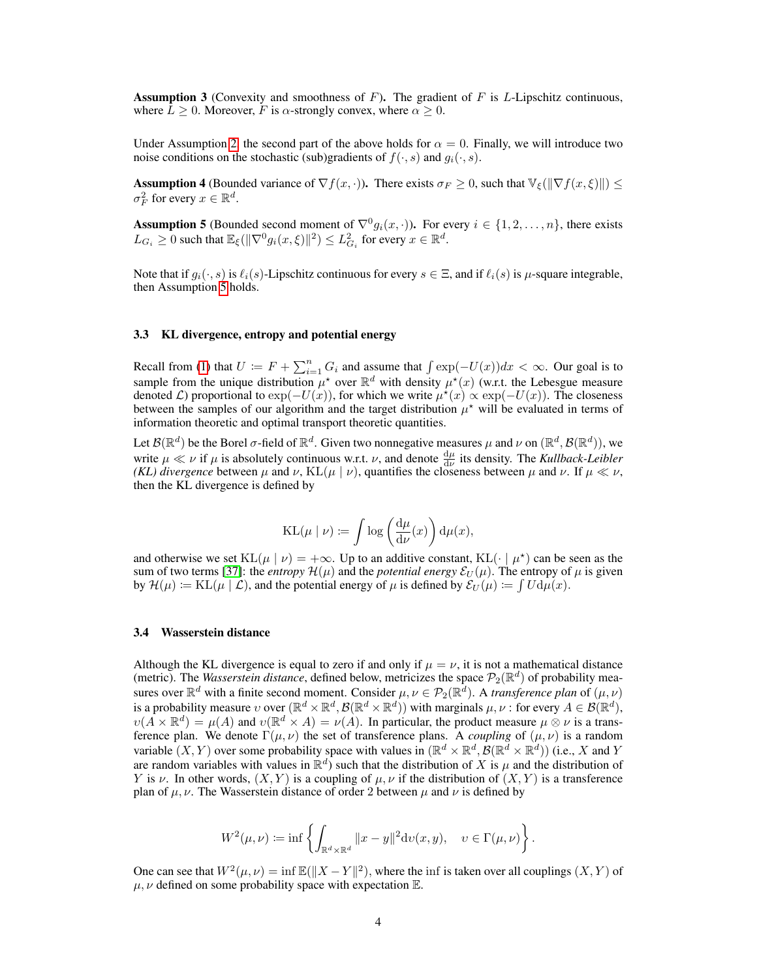**Assumption 3** (Convexity and smoothness of F). The gradient of F is L-Lipschitz continuous, where  $L > 0$ . Moreover, F is  $\alpha$ -strongly convex, where  $\alpha > 0$ .

Under Assumption [2,](#page-2-0) the second part of the above holds for  $\alpha = 0$ . Finally, we will introduce two noise conditions on the stochastic (sub)gradients of  $f(\cdot, s)$  and  $g_i(\cdot, s)$ .

**Assumption 4** (Bounded variance of  $\nabla f(x, \cdot)$ ). There exists  $\sigma_F \ge 0$ , such that  $\forall \xi (\|\nabla f(x, \xi)\|) \le$  $\sigma_F^2$  for every  $x \in \mathbb{R}^d$ .

<span id="page-3-0"></span>**Assumption 5** (Bounded second moment of  $\nabla^0 g_i(x, \cdot)$ ). For every  $i \in \{1, 2, ..., n\}$ , there exists  $L_{G_i} \ge 0$  such that  $\mathbb{E}_{\xi}(\|\nabla^0 g_i(x,\xi)\|^2) \le L_{G_i}^2$  for every  $x \in \mathbb{R}^d$ .

Note that if  $q_i(\cdot, s)$  is  $\ell_i(s)$ -Lipschitz continuous for every  $s \in \Xi$ , and if  $\ell_i(s)$  is  $\mu$ -square integrable, then Assumption [5](#page-3-0) holds.

#### 3.3 KL divergence, entropy and potential energy

Recall from [\(1\)](#page-0-0) that  $U := F + \sum_{i=1}^{n} G_i$  and assume that  $\int \exp(-U(x))dx < \infty$ . Our goal is to sample from the unique distribution  $\mu^*$  over  $\mathbb{R}^d$  with density  $\mu^*(x)$  (w.r.t. the Lebesgue measure denoted *L*) proportional to  $\exp(-U(x))$ , for which we write  $\mu^*(x) \propto \exp(-U(x))$ . The closeness between the samples of our algorithm and the target distribution  $\mu^*$  will be evaluated in terms of information theoretic and optimal transport theoretic quantities.

Let  $\mathcal{B}(\mathbb{R}^d)$  be the Borel  $\sigma$ -field of  $\mathbb{R}^d$ . Given two nonnegative measures  $\mu$  and  $\nu$  on  $(\mathbb{R}^d, \mathcal{B}(\mathbb{R}^d))$ , we write  $\mu \ll \nu$  if  $\mu$  is absolutely continuous w.r.t.  $\nu$ , and denote  $\frac{d\mu}{d\nu}$  its density. The *Kullback-Leibler (KL) divergence* between  $\mu$  and  $\nu$ , KL( $\mu \mid \nu$ ), quantifies the closeness between  $\mu$  and  $\nu$ . If  $\mu \ll \nu$ , then the KL divergence is defined by

$$
\mathrm{KL}(\mu \mid \nu) \coloneqq \int \log \left( \frac{\mathrm{d} \mu}{\mathrm{d} \nu}(x) \right) \mathrm{d} \mu(x),
$$

and otherwise we set  $KL(\mu | \nu) = +\infty$ . Up to an additive constant,  $KL(\cdot | \mu^*)$  can be seen as the sum of two terms [\[37\]](#page-10-14): the *entropy*  $\mathcal{H}(\mu)$  and the *potential energy*  $\mathcal{E}_U(\mu)$ . The entropy of  $\mu$  is given by  $\mathcal{H}(\mu) \coloneqq \text{KL}(\mu \mid \mathcal{L})$ , and the potential energy of  $\mu$  is defined by  $\mathcal{E}_U(\mu) \coloneqq \int U \, \mathrm{d}\mu(x)$ .

## 3.4 Wasserstein distance

Although the KL divergence is equal to zero if and only if  $\mu = \nu$ , it is not a mathematical distance (metric). The *Wasserstein distance*, defined below, metricizes the space  $\mathcal{P}_2(\mathbb{R}^d)$  of probability measures over  $\mathbb{R}^d$  with a finite second moment. Consider  $\mu, \nu \in \mathcal{P}_2(\mathbb{R}^d)$ . A *transference plan* of  $(\mu, \nu)$ is a probability measure  $v$  over  $(\mathbb{R}^d \times \mathbb{R}^d, \mathcal{B}(\mathbb{R}^d \times \mathbb{R}^d))$  with marginals  $\mu, \nu$ : for every  $A \in \mathcal{B}(\mathbb{R}^d)$ ,  $\nu(A \times \mathbb{R}^d) = \mu(A)$  and  $\nu(\mathbb{R}^d \times A) = \nu(A)$ . In particular, the product measure  $\mu \otimes \nu$  is a transference plan. We denote  $\Gamma(\mu, \nu)$  the set of transference plans. A *coupling* of  $(\mu, \nu)$  is a random variable  $(X, Y)$  over some probability space with values in  $(\mathbb{R}^d \times \mathbb{R}^d, \mathcal{B}(\mathbb{R}^d \times \mathbb{R}^d))$  (i.e., X and Y are random variables with values in  $\mathbb{R}^d$ ) such that the distribution of X is  $\mu$  and the distribution of Y is v. In other words,  $(X, Y)$  is a coupling of  $\mu, \nu$  if the distribution of  $(X, Y)$  is a transference plan of  $\mu$ ,  $\nu$ . The Wasserstein distance of order 2 between  $\mu$  and  $\nu$  is defined by

$$
W^2(\mu,\nu) \coloneqq \inf \left\{ \int_{\mathbb{R}^d \times \mathbb{R}^d} ||x - y||^2 \mathrm{d}v(x,y), \quad v \in \Gamma(\mu,\nu) \right\}.
$$

One can see that  $W^2(\mu, \nu) = \inf \mathbb{E}(\Vert X - Y \Vert^2)$ , where the inf is taken over all couplings  $(X, Y)$  of  $\mu, \nu$  defined on some probability space with expectation  $\mathbb{E}$ .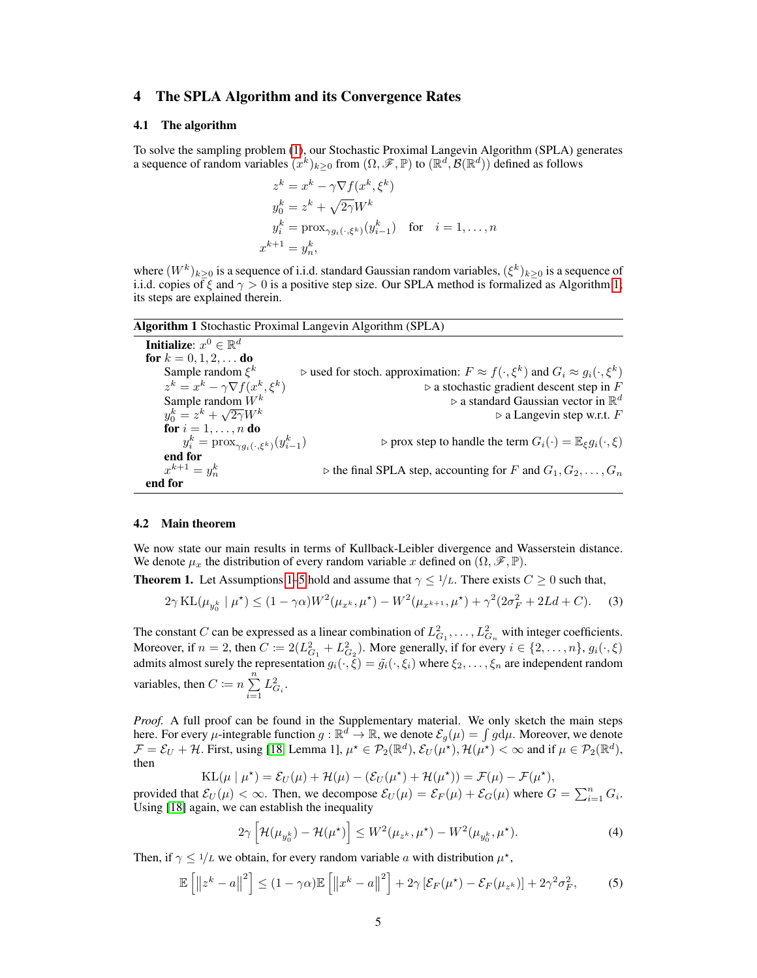# <span id="page-4-2"></span>4 The SPLA Algorithm and its Convergence Rates

#### 4.1 The algorithm

To solve the sampling problem [\(1\)](#page-0-0), our Stochastic Proximal Langevin Algorithm (SPLA) generates a sequence of random variables  $(x^k)_{k\geq 0}$  from  $(\Omega, \mathscr{F}, \mathbb{P})$  to  $(\mathbb{R}^d, \mathcal{B}(\mathbb{R}^d))$  defined as follows

$$
z^{k} = x^{k} - \gamma \nabla f(x^{k}, \xi^{k})
$$
  
\n
$$
y_{0}^{k} = z^{k} + \sqrt{2\gamma} W^{k}
$$
  
\n
$$
y_{i}^{k} = \text{prox}_{\gamma g_{i}(\cdot, \xi^{k})}(y_{i-1}^{k}) \text{ for } i = 1, ..., n
$$
  
\n
$$
x^{k+1} = y_{n}^{k},
$$

where  $(W^k)_{k\geq 0}$  is a sequence of i.i.d. standard Gaussian random variables,  $(\xi^k)_{k\geq 0}$  is a sequence of i.i.d. copies of  $\xi$  and  $\gamma > 0$  is a positive step size. Our SPLA method is formalized as Algorithm [1;](#page-4-1) its steps are explained therein.

Algorithm 1 Stochastic Proximal Langevin Algorithm (SPLA)

<span id="page-4-1"></span>**Initialize:**  $x^0 \in \mathbb{R}^d$ for  $k = 0, 1, 2, ...$  do Sample random  $\xi^k$  $k$  ⊳ used for stoch. approximation:  $F \approx f(\cdot, \xi^k)$  and  $G_i \approx g_i(\cdot, \xi^k)$  $z^k = x^k - \gamma \nabla f(x^k, \xi^k)$  $\triangleright$  a stochastic gradient descent step in F Sample random  $W^k$  a standard Gaussian vector in R  $\rhd$  a standard Gaussian vector in  $\mathbb{R}^d$  $y_0^k = z^k + \sqrt{ }$  $\triangleright$  a Langevin step w.r.t. F for  $i=1,\ldots,n$  do  $y_i^k = \text{prox}_{\gamma g_i(\cdot, \xi^k)}(y_{i-1}^k)$  $\triangleright$  prox step to handle the term  $G_i(\cdot) = \mathbb{E}_{\xi} g_i(\cdot, \xi)$ end for  $x^{k+1} = y_n^k$  $\triangleright$  the final SPLA step, accounting for F and  $G_1, G_2, \ldots, G_n$ end for

#### 4.2 Main theorem

We now state our main results in terms of Kullback-Leibler divergence and Wasserstein distance. We denote  $\mu_x$  the distribution of every random variable x defined on  $(\Omega, \mathscr{F}, \mathbb{P})$ .

<span id="page-4-0"></span>**Theorem 1.** Let Assumptions [1–](#page-2-1)[5](#page-3-0) hold and assume that  $\gamma \leq 1/L$ . There exists  $C \geq 0$  such that,

$$
2\gamma \operatorname{KL}(\mu_{y_0^k} \mid \mu^*) \le (1 - \gamma \alpha) W^2(\mu_{x^k}, \mu^*) - W^2(\mu_{x^{k+1}}, \mu^*) + \gamma^2 (2\sigma_F^2 + 2Ld + C). \tag{3}
$$

The constant C can be expressed as a linear combination of  $L_{G_1}^2, \ldots, L_{G_n}^2$  with integer coefficients. Moreover, if  $n = 2$ , then  $C \coloneqq 2(L_{G_1}^2 + L_{G_2}^2)$ . More generally, if for every  $i \in \{2, ..., n\}$ ,  $g_i(\cdot, \xi)$ admits almost surely the representation  $g_i(\cdot,\xi) = \tilde{g}_i(\cdot,\xi_i)$  where  $\xi_2,\ldots,\xi_n$  are independent random variables, then  $C \coloneqq n \sum_{i=1}^{n} L_{G_i}^2$ .  $i=1$ 

*Proof.* A full proof can be found in the Supplementary material. We only sketch the main steps here. For every  $\mu$ -integrable function  $g : \mathbb{R}^d \to \mathbb{R}$ , we denote  $\mathcal{E}_g(\mu) = \int g d\mu$ . Moreover, we denote  $\mathcal{F} = \mathcal{E}_U + \mathcal{H}$ . First, using [\[18,](#page-9-7) Lemma 1],  $\mu^* \in \mathcal{P}_2(\mathbb{R}^d)$ ,  $\mathcal{E}_U(\mu^*)$ ,  $\mathcal{H}(\mu^*) < \infty$  and if  $\mu \in \mathcal{P}_2(\mathbb{R}^d)$ , then

$$
KL(\mu | \mu^*) = \mathcal{E}_U(\mu) + \mathcal{H}(\mu) - (\mathcal{E}_U(\mu^*) + \mathcal{H}(\mu^*)) = \mathcal{F}(\mu) - \mathcal{F}(\mu^*),
$$

provided that  $\mathcal{E}_U(\mu) < \infty$ . Then, we decompose  $\mathcal{E}_U(\mu) = \mathcal{E}_F(\mu) + \mathcal{E}_G(\mu)$  where  $G = \sum_{i=1}^n G_i$ . Using [\[18\]](#page-9-7) again, we can establish the inequality

<span id="page-4-5"></span><span id="page-4-4"></span><span id="page-4-3"></span>
$$
2\gamma \left[ \mathcal{H}(\mu_{y_0^k}) - \mathcal{H}(\mu^*) \right] \le W^2(\mu_{z^k}, \mu^*) - W^2(\mu_{y_0^k}, \mu^*). \tag{4}
$$

Then, if  $\gamma \leq 1/L$  we obtain, for every random variable a with distribution  $\mu^*$ ,

$$
\mathbb{E}\left[\left\|z^{k}-a\right\|^{2}\right] \leq (1-\gamma\alpha)\mathbb{E}\left[\left\|x^{k}-a\right\|^{2}\right] + 2\gamma\left[\mathcal{E}_{F}(\mu^{\star})-\mathcal{E}_{F}(\mu_{z^{k}})\right] + 2\gamma^{2}\sigma_{F}^{2},\tag{5}
$$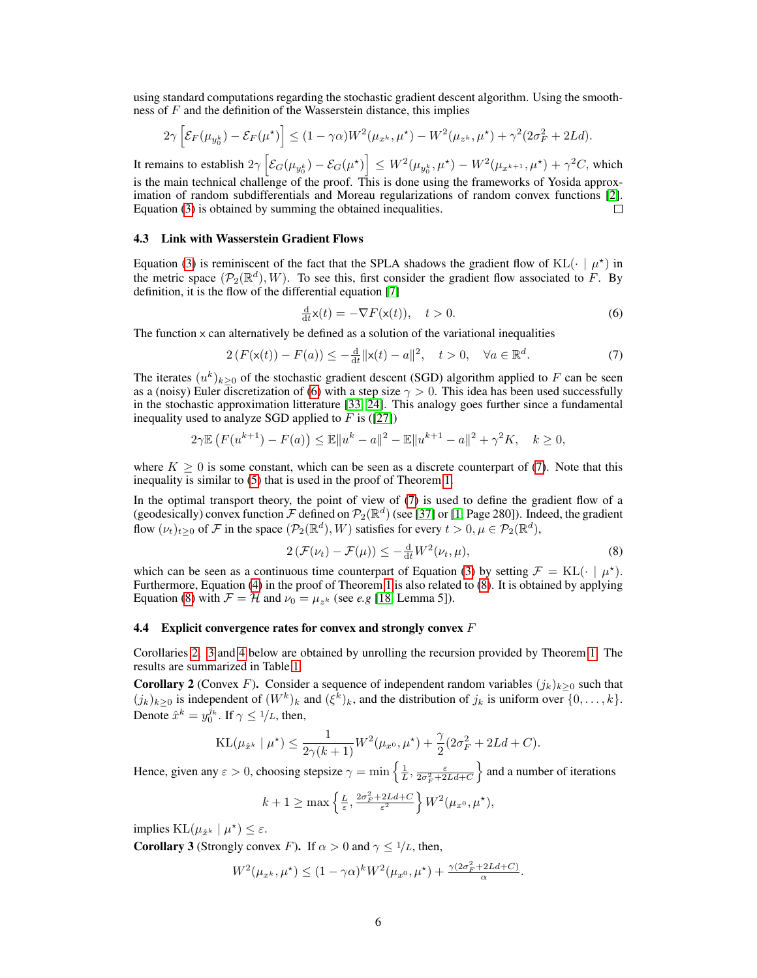using standard computations regarding the stochastic gradient descent algorithm. Using the smoothness of  $F$  and the definition of the Wasserstein distance, this implies

$$
2\gamma \left[ \mathcal{E}_F(\mu_{y_0^k}) - \mathcal{E}_F(\mu^*) \right] \le (1 - \gamma \alpha) W^2(\mu_{x^k}, \mu^*) - W^2(\mu_{z^k}, \mu^*) + \gamma^2 (2\sigma_F^2 + 2Ld).
$$

It remains to establish  $2\gamma\left[\mathcal{E}_{G}(\mu_{y_0^k})-\mathcal{E}_{G}(\mu^\star)\right]\leq W^2(\mu_{y_0^k},\mu^\star)-W^2(\mu_{x^{k+1}},\mu^\star)+\gamma^2C,$  which is the main technical challenge of the proof. This is done using the frameworks of Yosida approximation of random subdifferentials and Moreau regularizations of random convex functions [\[2\]](#page-9-8). Equation [\(3\)](#page-4-3) is obtained by summing the obtained inequalities.  $\Box$ 

#### 4.3 Link with Wasserstein Gradient Flows

Equation [\(3\)](#page-4-3) is reminiscent of the fact that the SPLA shadows the gradient flow of KL( $\cdot \mid \mu^*$ ) in the metric space  $(\mathcal{P}_2(\mathbb{R}^d), W)$ . To see this, first consider the gradient flow associated to F. By definition, it is the flow of the differential equation [\[7\]](#page-9-15)

<span id="page-5-3"></span><span id="page-5-2"></span>
$$
\frac{\mathrm{d}}{\mathrm{d}t}\mathsf{x}(t) = -\nabla F(\mathsf{x}(t)), \quad t > 0.
$$
\n<sup>(6)</sup>

The function  $x$  can alternatively be defined as a solution of the variational inequalities

$$
2\left(F(\mathsf{x}(t)) - F(a)\right) \le -\frac{\mathrm{d}}{\mathrm{d}t} \|\mathsf{x}(t) - a\|^2, \quad t > 0, \quad \forall a \in \mathbb{R}^d. \tag{7}
$$

The iterates  $(u^k)_{k \geq 0}$  of the stochastic gradient descent (SGD) algorithm applied to F can be seen as a (noisy) Euler discretization of [\(6\)](#page-5-2) with a step size  $\gamma > 0$ . This idea has been used successfully in the stochastic approximation litterature [\[33,](#page-10-15) [24\]](#page-10-16). This analogy goes further since a fundamental inequality used to analyze SGD applied to  $F$  is ([\[27\]](#page-10-17))

$$
2\gamma \mathbb{E}\left(F(u^{k+1}) - F(a)\right) \le \mathbb{E}\|u^k - a\|^2 - \mathbb{E}\|u^{k+1} - a\|^2 + \gamma^2 K, \quad k \ge 0,
$$

where  $K \geq 0$  is some constant, which can be seen as a discrete counterpart of [\(7\)](#page-5-3). Note that this inequality is similar to [\(5\)](#page-4-4) that is used in the proof of Theorem [1.](#page-4-0)

In the optimal transport theory, the point of view of [\(7\)](#page-5-3) is used to define the gradient flow of a (geodesically) convex function  $\mathcal{F}$  defined on  $\mathcal{P}_2(\mathbb{R}^d)$  (see [\[37\]](#page-10-14) or [\[1,](#page-9-16) Page 280]). Indeed, the gradient flow  $(\nu_t)_{t\geq 0}$  of F in the space  $(\mathcal{P}_2(\mathbb{R}^d), W)$  satisfies for every  $t > 0, \mu \in \mathcal{P}_2(\mathbb{R}^d)$ ,

<span id="page-5-4"></span>
$$
2\left(\mathcal{F}(\nu_t) - \mathcal{F}(\mu)\right) \le -\frac{\mathrm{d}}{\mathrm{d}t} W^2(\nu_t, \mu),\tag{8}
$$

which can be seen as a continuous time counterpart of Equation [\(3\)](#page-4-3) by setting  $\mathcal{F} = \text{KL}(\cdot \mid \mu^*)$ . Furthermore, Equation [\(4\)](#page-4-5) in the proof of Theorem [1](#page-4-0) is also related to [\(8\)](#page-5-4). It is obtained by applying Equation [\(8\)](#page-5-4) with  $\mathcal{F} = \mathcal{H}$  and  $\nu_0 = \mu_{z^k}$  (see *e.g* [\[18,](#page-9-7) Lemma 5]).

#### **4.4** Explicit convergence rates for convex and strongly convex  $F$

Corollaries [2,](#page-5-0) [3](#page-5-1) and [4](#page-6-0) below are obtained by unrolling the recursion provided by Theorem [1.](#page-4-0) The results are summarized in Table [1.](#page-1-1)

<span id="page-5-0"></span>**Corollary 2** (Convex F). Consider a sequence of independent random variables  $(j_k)_{k\geq 0}$  such that  $(j_k)_{k\geq 0}$  is independent of  $(W^k)_k$  and  $(\xi^k)_k$ , and the distribution of  $j_k$  is uniform over  $\{0,\ldots,k\}$ . Denote  $\hat{x}^k = y_0^{j_k}$ . If  $\gamma \leq 1/L$ , then,

$$
KL(\mu_{\hat{x}^k} \mid \mu^*) \le \frac{1}{2\gamma(k+1)} W^2(\mu_{x^0}, \mu^*) + \frac{\gamma}{2} (2\sigma_F^2 + 2Ld + C).
$$

Hence, given any  $\varepsilon > 0$ , choosing stepsize  $\gamma = \min\left\{\frac{1}{L}, \frac{\varepsilon}{2\sigma_F^2 + 2Ld + C}\right\}$ and a number of iterations

$$
k+1 \ge \max\left\{\frac{L}{\varepsilon}, \frac{2\sigma_F^2 + 2Ld + C}{\varepsilon^2}\right\} W^2(\mu_{x^0}, \mu^\star),
$$

implies  $KL(\mu_{\hat{x}^k} | \mu^*) \leq \varepsilon$ .

<span id="page-5-1"></span>**Corollary 3** (Strongly convex F). If  $\alpha > 0$  and  $\gamma \leq 1/L$ , then,

$$
W^2(\mu_{x^k}, \mu^*) \le (1 - \gamma \alpha)^k W^2(\mu_{x^0}, \mu^*) + \frac{\gamma (2\sigma_F^2 + 2Ld + C)}{\alpha}.
$$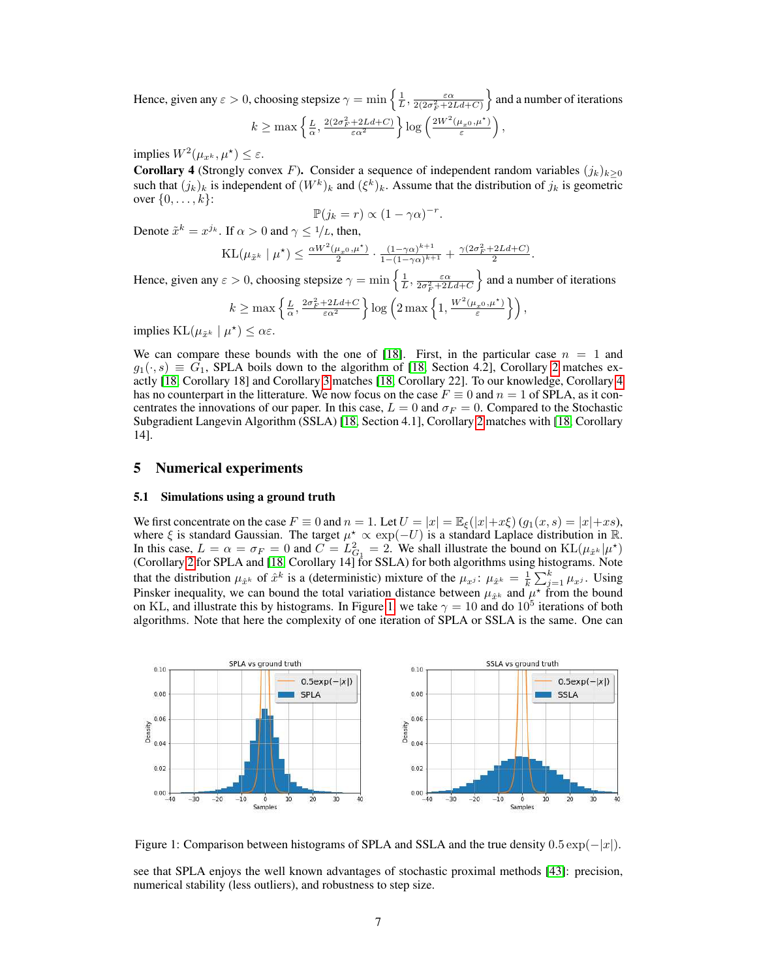Hence, given any  $\varepsilon > 0$ , choosing stepsize  $\gamma = \min \left\{ \frac{1}{L}, \frac{\varepsilon \alpha}{2(2\sigma_F^2 + 2Ld + C)} \right\}$  $\}$  and a number of iterations  $k \geq \max\left\{\frac{L}{\alpha}, \frac{2(2\sigma_F^2 + 2Ld + C)}{\varepsilon \alpha^2}\right\} \log\left(\frac{2W^2(\mu_{x0}, \mu^*)}{\varepsilon}\right)$  $\left(\frac{\mu_x}{\varepsilon},\mu^\star\right)\right),$ 

implies  $W^2(\mu_{x^k}, \mu^*) \leq \varepsilon$ .

<span id="page-6-0"></span>**Corollary 4** (Strongly convex F). Consider a sequence of independent random variables  $(j_k)_{k>0}$ such that  $(j_k)_k$  is independent of  $(W^k)_k$  and  $(\xi^k)_k$ . Assume that the distribution of  $j_k$  is geometric over  $\{0, \ldots, k\}$ :

$$
\mathbb{P}(j_k = r) \propto (1 - \gamma \alpha)^{-r}.
$$

Denote  $\tilde{x}^k = x^{j_k}$ . If  $\alpha > 0$  and  $\gamma \leq 1/L$ , then,

$$
\mathrm{KL}(\mu_{\tilde{x}^k} \mid \mu^\star) \le \frac{\alpha W^2(\mu_{x^0}, \mu^\star)}{2} \cdot \frac{(1-\gamma\alpha)^{k+1}}{1-(1-\gamma\alpha)^{k+1}} + \frac{\gamma(2\sigma_F^2 + 2Ld + C)}{2}.
$$

Hence, given any  $\varepsilon > 0$ , choosing stepsize  $\gamma = \min\left\{\frac{1}{L}, \frac{\varepsilon \alpha}{2\sigma_F^2 + 2Ld + C}\right\}$ and a number of iterations

$$
k \ge \max\left\{\frac{L}{\alpha}, \frac{2\sigma_F^2 + 2Ld + C}{\varepsilon \alpha^2}\right\} \log\left(2 \max\left\{1, \frac{W^2(\mu_x 0, \mu^*)}{\varepsilon}\right\}\right),
$$

implies  $KL(\mu_{\tilde{x}^k} | \mu^*) \leq \alpha \varepsilon$ .

We can compare these bounds with the one of [\[18\]](#page-9-7). First, in the particular case  $n = 1$  and  $g_1(\cdot, s) \equiv G_1$ , SPLA boils down to the algorithm of [\[18,](#page-9-7) Section 4.2], Corollary [2](#page-5-0) matches exactly [\[18,](#page-9-7) Corollary 18] and Corollary [3](#page-5-1) matches [\[18,](#page-9-7) Corollary 22]. To our knowledge, Corollary [4](#page-6-0) has no counterpart in the litterature. We now focus on the case  $F \equiv 0$  and  $n = 1$  of SPLA, as it concentrates the innovations of our paper. In this case,  $L = 0$  and  $\sigma_F = 0$ . Compared to the Stochastic Subgradient Langevin Algorithm (SSLA) [\[18,](#page-9-7) Section 4.1], Corollary [2](#page-5-0) matches with [\[18,](#page-9-7) Corollary 14].

# 5 Numerical experiments

#### 5.1 Simulations using a ground truth

We first concentrate on the case  $F \equiv 0$  and  $n = 1$ . Let  $U = |x| = \mathbb{E}_{\xi}(|x| + x\xi)(g_1(x, s) = |x| + xs)$ , where  $\xi$  is standard Gaussian. The target  $\mu^* \propto \exp(-U)$  is a standard Laplace distribution in  $\mathbb{R}$ . In this case,  $L = \alpha = \sigma_F = 0$  and  $C = L_{G_1}^2 = 2$ . We shall illustrate the bound on  $KL(\mu_{\hat{x}^k}|\mu^*)$ (Corollary [2](#page-5-0) for SPLA and [\[18,](#page-9-7) Corollary 14] for SSLA) for both algorithms using histograms. Note that the distribution  $\mu_{\hat{x}^k}$  of  $\hat{x}^k$  is a (deterministic) mixture of the  $\mu_{x^j}$ :  $\mu_{\hat{x}^k} = \frac{1}{k} \sum_{j=1}^k \mu_{x^j}$ . Using Pinsker inequality, we can bound the total variation distance between  $\mu_{\hat{x}^k}$  and  $\mu^*$  from the bound on KL, and illustrate this by histograms. In Figure [1,](#page-6-1) we take  $\gamma = 10$  and do  $10^5$  iterations of both algorithms. Note that here the complexity of one iteration of SPLA or SSLA is the same. One can



<span id="page-6-1"></span>Figure 1: Comparison between histograms of SPLA and SSLA and the true density  $0.5 \exp(-|x|)$ .

see that SPLA enjoys the well known advantages of stochastic proximal methods [\[43\]](#page-11-5): precision, numerical stability (less outliers), and robustness to step size.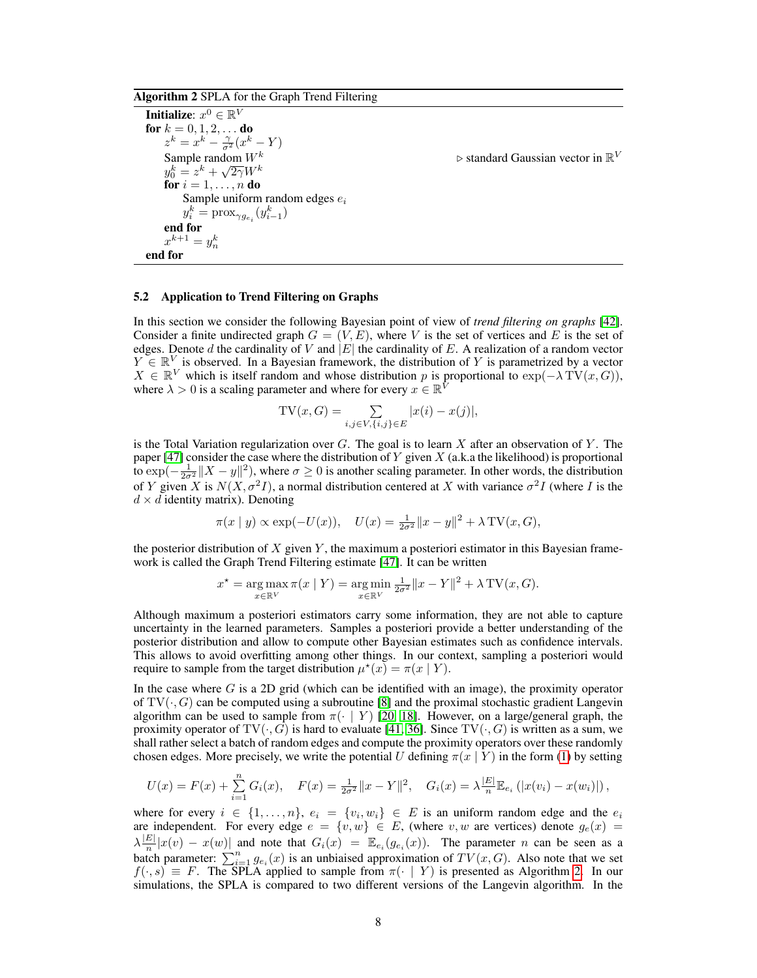Algorithm 2 SPLA for the Graph Trend Filtering

<span id="page-7-0"></span>**Initialize:**  $x^0 \in \mathbb{R}^V$ for  $k = 0, 1, 2, \ldots$  do  $z^k = x^k - \frac{\gamma}{\sigma^2}(x^k - Y)$ Sample random  $W^k$  > standard Gaussian vector in  $\mathbb{R}^V$  $y_0^k = z^k + \sqrt{2\gamma}W^k$ for  $i = 1, \ldots, n$  do Sample uniform random edges  $e_i$  $y_i^k = \text{prox}_{\gamma g_{e_i}}(y_{i-1}^k)$ end for  $x^{k+1} = y_n^k$ end for

### 5.2 Application to Trend Filtering on Graphs

In this section we consider the following Bayesian point of view of *trend filtering on graphs* [\[42\]](#page-11-10). Consider a finite undirected graph  $G = (V, E)$ , where V is the set of vertices and E is the set of edges. Denote d the cardinality of V and  $|E|$  the cardinality of E. A realization of a random vector  $Y \in \mathbb{R}^V$  is observed. In a Bayesian framework, the distribution of Y is parametrized by a vector  $X \in \mathbb{R}^V$  which is itself random and whose distribution p is proportional to  $\exp(-\lambda \text{TV}(x, G)),$ where  $\lambda > 0$  is a scaling parameter and where for every  $x \in \mathbb{R}^{\hat{V}}$ 

$$
TV(x, G) = \sum_{i,j \in V, \{i,j\} \in E} |x(i) - x(j)|,
$$

is the Total Variation regularization over  $G$ . The goal is to learn  $X$  after an observation of  $Y$ . The paper [\[47\]](#page-11-9) consider the case where the distribution of Y given  $X$  (a.k.a the likelihood) is proportional to  $\exp(-\frac{1}{2\sigma^2}||X-y||^2)$ , where  $\sigma \ge 0$  is another scaling parameter. In other words, the distribution of Y given X is  $N(X, \sigma^2 I)$ , a normal distribution centered at X with variance  $\sigma^2 I$  (where I is the  $d \times d$  identity matrix). Denoting

$$
\pi(x \mid y) \propto \exp(-U(x)), \quad U(x) = \frac{1}{2\sigma^2} ||x - y||^2 + \lambda \text{TV}(x, G),
$$

the posterior distribution of  $X$  given  $Y$ , the maximum a posteriori estimator in this Bayesian framework is called the Graph Trend Filtering estimate [\[47\]](#page-11-9). It can be written

$$
x^* = \underset{x \in \mathbb{R}^V}{\arg \max} \pi(x \mid Y) = \underset{x \in \mathbb{R}^V}{\arg \min} \frac{1}{2\sigma^2} \|x - Y\|^2 + \lambda \text{TV}(x, G).
$$

Although maximum a posteriori estimators carry some information, they are not able to capture uncertainty in the learned parameters. Samples a posteriori provide a better understanding of the posterior distribution and allow to compute other Bayesian estimates such as confidence intervals. This allows to avoid overfitting among other things. In our context, sampling a posteriori would require to sample from the target distribution  $\mu^*(x) = \pi(x \mid Y)$ .

In the case where  $G$  is a 2D grid (which can be identified with an image), the proximity operator of  $TV(\cdot, G)$  can be computed using a subroutine [\[8\]](#page-9-17) and the proximal stochastic gradient Langevin algorithm can be used to sample from  $\pi(\cdot | Y)$  [\[20,](#page-10-4) [18\]](#page-9-7). However, on a large/general graph, the proximity operator of  $TV(\cdot, G)$  is hard to evaluate [\[41,](#page-11-11) [36\]](#page-10-6). Since  $TV(\cdot, G)$  is written as a sum, we shall rather select a batch of random edges and compute the proximity operators over these randomly chosen edges. More precisely, we write the potential U defining  $\pi(x | Y)$  in the form [\(1\)](#page-0-0) by setting

$$
U(x) = F(x) + \sum_{i=1}^{n} G_i(x), \quad F(x) = \frac{1}{2\sigma^2} ||x - Y||^2, \quad G_i(x) = \lambda \frac{|E|}{n} \mathbb{E}_{e_i} (|x(v_i) - x(w_i)|),
$$

where for every  $i \in \{1, \ldots, n\}$ ,  $e_i = \{v_i, w_i\} \in E$  is an uniform random edge and the  $e_i$ are independent. For every edge  $e = \{v, w\} \in E$ , (where  $v, w$  are vertices) denote  $g_e(x) =$  $\lambda \frac{|E|}{n}$  $\frac{E||x(v) - x(w)||}{\ln}$  and note that  $G_i(x) = \mathbb{E}_{e_i}(g_{e_i}(x))$ . The parameter n can be seen as a batch parameter:  $\sum_{i=1}^{n} g_{e_i}(x)$  is an unbiaised approximation of  $TV(x, G)$ . Also note that we set  $f(\cdot, s) \equiv F$ . The SPLA applied to sample from  $\pi(\cdot | Y)$  is presented as Algorithm [2.](#page-7-0) In our simulations, the SPLA is compared to two different versions of the Langevin algorithm. In the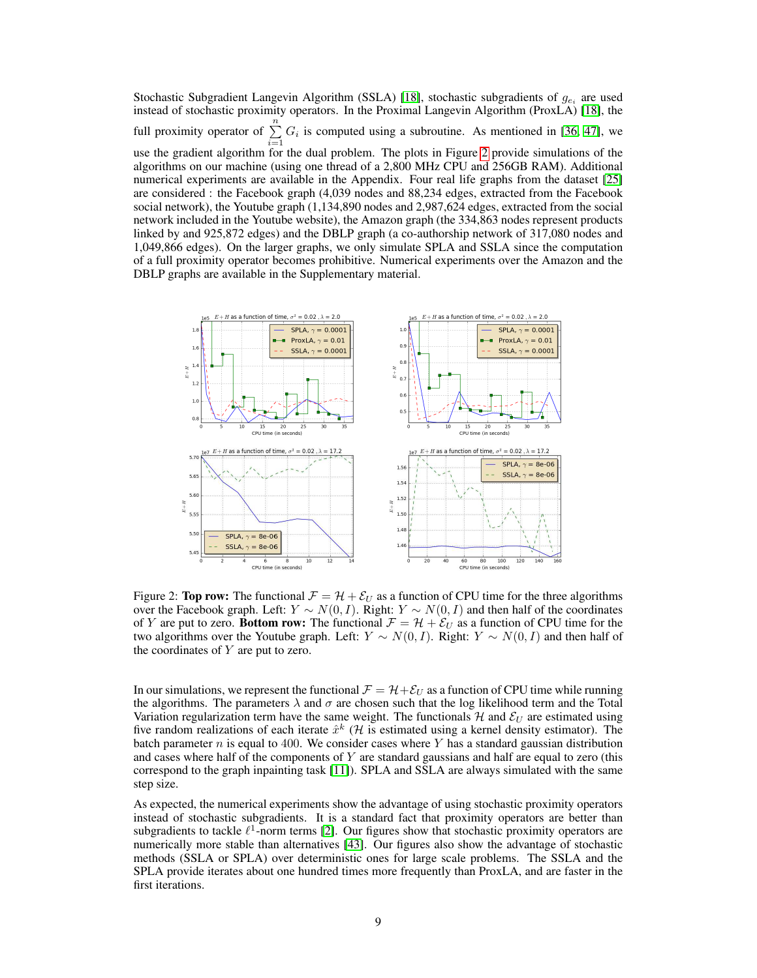Stochastic Subgradient Langevin Algorithm (SSLA) [\[18\]](#page-9-7), stochastic subgradients of  $g_{e_i}$  are used instead of stochastic proximity operators. In the Proximal Langevin Algorithm (ProxLA) [\[18\]](#page-9-7), the full proximity operator of  $\sum_{n=1}^{\infty}$  $\sum_{i=1} G_i$  is computed using a subroutine. As mentioned in [\[36,](#page-10-6) [47\]](#page-11-9), we use the gradient algorithm for the dual problem. The plots in Figure [2](#page-8-0) provide simulations of the algorithms on our machine (using one thread of a 2,800 MHz CPU and 256GB RAM). Additional numerical experiments are available in the Appendix. Four real life graphs from the dataset [\[25\]](#page-10-18) are considered : the Facebook graph (4,039 nodes and 88,234 edges, extracted from the Facebook social network), the Youtube graph (1,134,890 nodes and 2,987,624 edges, extracted from the social network included in the Youtube website), the Amazon graph (the 334,863 nodes represent products linked by and 925,872 edges) and the DBLP graph (a co-authorship network of 317,080 nodes and 1,049,866 edges). On the larger graphs, we only simulate SPLA and SSLA since the computation of a full proximity operator becomes prohibitive. Numerical experiments over the Amazon and the DBLP graphs are available in the Supplementary material.



<span id="page-8-0"></span>Figure 2: **Top row:** The functional  $\mathcal{F} = \mathcal{H} + \mathcal{E}_U$  as a function of CPU time for the three algorithms over the Facebook graph. Left:  $Y \sim N(0, I)$ . Right:  $Y \sim N(0, I)$  and then half of the coordinates of Y are put to zero. **Bottom row:** The functional  $\mathcal{F} = \mathcal{H} + \mathcal{E}_U$  as a function of CPU time for the two algorithms over the Youtube graph. Left:  $Y \sim N(0, I)$ . Right:  $Y \sim N(0, I)$  and then half of the coordinates of  $Y$  are put to zero.

In our simulations, we represent the functional  $\mathcal{F} = \mathcal{H} + \mathcal{E}_U$  as a function of CPU time while running the algorithms. The parameters  $\lambda$  and  $\sigma$  are chosen such that the log likelihood term and the Total Variation regularization term have the same weight. The functionals  $H$  and  $\mathcal{E}_U$  are estimated using five random realizations of each iterate  $\hat{x}^k$  (*H* is estimated using a kernel density estimator). The batch parameter  $n$  is equal to 400. We consider cases where  $Y$  has a standard gaussian distribution and cases where half of the components of  $Y$  are standard gaussians and half are equal to zero (this correspond to the graph inpainting task [\[11\]](#page-9-18)). SPLA and SSLA are always simulated with the same step size.

As expected, the numerical experiments show the advantage of using stochastic proximity operators instead of stochastic subgradients. It is a standard fact that proximity operators are better than subgradients to tackle  $\ell^1$ -norm terms [\[2\]](#page-9-8). Our figures show that stochastic proximity operators are numerically more stable than alternatives [\[43\]](#page-11-5). Our figures also show the advantage of stochastic methods (SSLA or SPLA) over deterministic ones for large scale problems. The SSLA and the SPLA provide iterates about one hundred times more frequently than ProxLA, and are faster in the first iterations.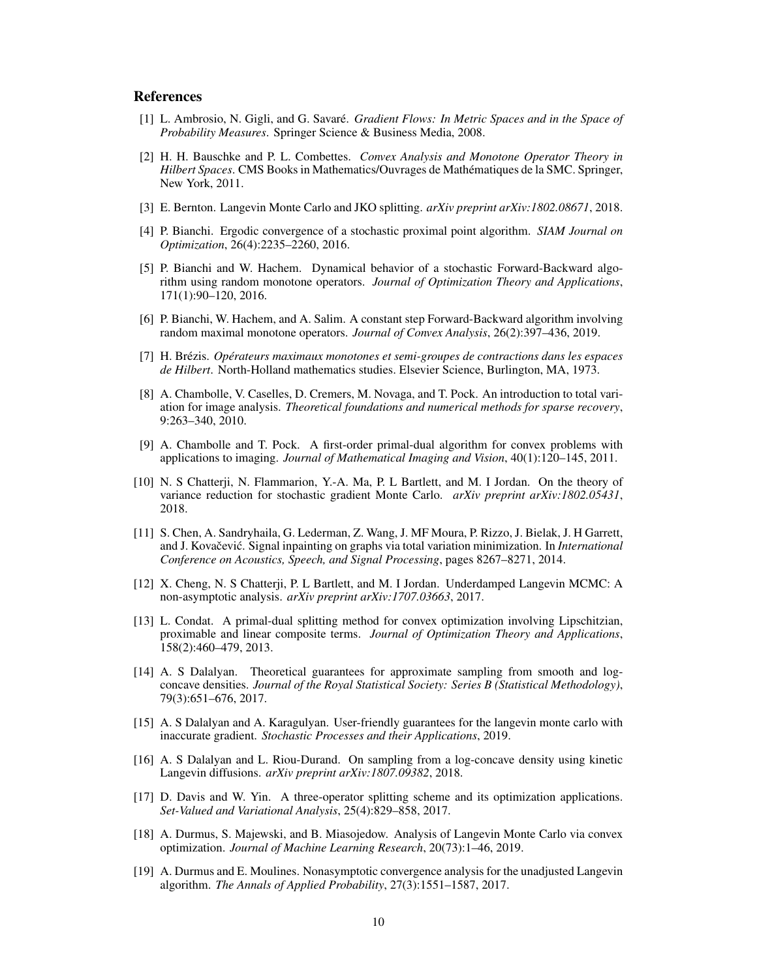# References

- <span id="page-9-16"></span>[1] L. Ambrosio, N. Gigli, and G. Savaré. *Gradient Flows: In Metric Spaces and in the Space of Probability Measures*. Springer Science & Business Media, 2008.
- <span id="page-9-8"></span>[2] H. H. Bauschke and P. L. Combettes. *Convex Analysis and Monotone Operator Theory in Hilbert Spaces*. CMS Books in Mathematics/Ouvrages de Mathématiques de la SMC. Springer, New York, 2011.
- <span id="page-9-14"></span>[3] E. Bernton. Langevin Monte Carlo and JKO splitting. *arXiv preprint arXiv:1802.08671*, 2018.
- <span id="page-9-11"></span>[4] P. Bianchi. Ergodic convergence of a stochastic proximal point algorithm. *SIAM Journal on Optimization*, 26(4):2235–2260, 2016.
- <span id="page-9-12"></span>[5] P. Bianchi and W. Hachem. Dynamical behavior of a stochastic Forward-Backward algorithm using random monotone operators. *Journal of Optimization Theory and Applications*, 171(1):90–120, 2016.
- <span id="page-9-13"></span>[6] P. Bianchi, W. Hachem, and A. Salim. A constant step Forward-Backward algorithm involving random maximal monotone operators. *Journal of Convex Analysis*, 26(2):397–436, 2019.
- <span id="page-9-15"></span>[7] H. Brézis. *Opérateurs maximaux monotones et semi-groupes de contractions dans les espaces de Hilbert*. North-Holland mathematics studies. Elsevier Science, Burlington, MA, 1973.
- <span id="page-9-17"></span>[8] A. Chambolle, V. Caselles, D. Cremers, M. Novaga, and T. Pock. An introduction to total variation for image analysis. *Theoretical foundations and numerical methods for sparse recovery*, 9:263–340, 2010.
- <span id="page-9-10"></span>[9] A. Chambolle and T. Pock. A first-order primal-dual algorithm for convex problems with applications to imaging. *Journal of Mathematical Imaging and Vision*, 40(1):120–145, 2011.
- <span id="page-9-5"></span>[10] N. S Chatterji, N. Flammarion, Y.-A. Ma, P. L Bartlett, and M. I Jordan. On the theory of variance reduction for stochastic gradient Monte Carlo. *arXiv preprint arXiv:1802.05431*, 2018.
- <span id="page-9-18"></span>[11] S. Chen, A. Sandryhaila, G. Lederman, Z. Wang, J. MF Moura, P. Rizzo, J. Bielak, J. H Garrett, and J. Kovačević. Signal inpainting on graphs via total variation minimization. In *International Conference on Acoustics, Speech, and Signal Processing*, pages 8267–8271, 2014.
- <span id="page-9-4"></span>[12] X. Cheng, N. S Chatterji, P. L Bartlett, and M. I Jordan. Underdamped Langevin MCMC: A non-asymptotic analysis. *arXiv preprint arXiv:1707.03663*, 2017.
- <span id="page-9-9"></span>[13] L. Condat. A primal-dual splitting method for convex optimization involving Lipschitzian, proximable and linear composite terms. *Journal of Optimization Theory and Applications*, 158(2):460–479, 2013.
- <span id="page-9-0"></span>[14] A. S Dalalyan. Theoretical guarantees for approximate sampling from smooth and logconcave densities. *Journal of the Royal Statistical Society: Series B (Statistical Methodology)*, 79(3):651–676, 2017.
- <span id="page-9-1"></span>[15] A. S Dalalyan and A. Karagulyan. User-friendly guarantees for the langevin monte carlo with inaccurate gradient. *Stochastic Processes and their Applications*, 2019.
- <span id="page-9-2"></span>[16] A. S Dalalyan and L. Riou-Durand. On sampling from a log-concave density using kinetic Langevin diffusions. *arXiv preprint arXiv:1807.09382*, 2018.
- <span id="page-9-6"></span>[17] D. Davis and W. Yin. A three-operator splitting scheme and its optimization applications. *Set-Valued and Variational Analysis*, 25(4):829–858, 2017.
- <span id="page-9-7"></span>[18] A. Durmus, S. Majewski, and B. Miasojedow. Analysis of Langevin Monte Carlo via convex optimization. *Journal of Machine Learning Research*, 20(73):1–46, 2019.
- <span id="page-9-3"></span>[19] A. Durmus and E. Moulines. Nonasymptotic convergence analysis for the unadjusted Langevin algorithm. *The Annals of Applied Probability*, 27(3):1551–1587, 2017.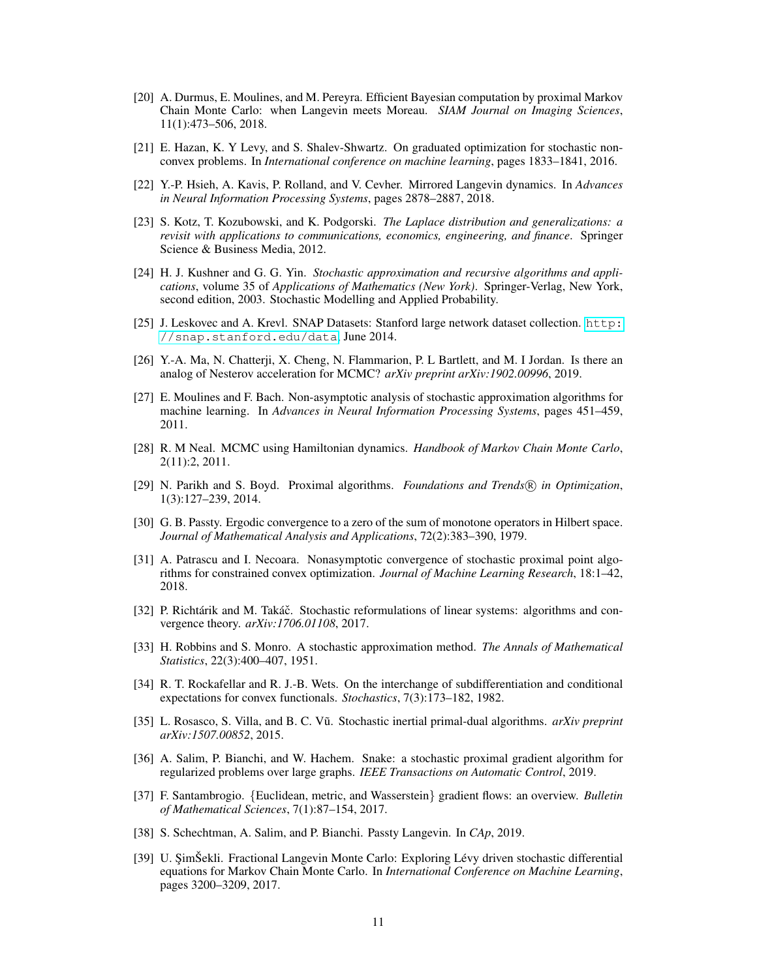- <span id="page-10-4"></span>[20] A. Durmus, E. Moulines, and M. Pereyra. Efficient Bayesian computation by proximal Markov Chain Monte Carlo: when Langevin meets Moreau. *SIAM Journal on Imaging Sciences*, 11(1):473–506, 2018.
- [21] E. Hazan, K. Y Levy, and S. Shalev-Shwartz. On graduated optimization for stochastic nonconvex problems. In *International conference on machine learning*, pages 1833–1841, 2016.
- <span id="page-10-3"></span>[22] Y.-P. Hsieh, A. Kavis, P. Rolland, and V. Cevher. Mirrored Langevin dynamics. In *Advances in Neural Information Processing Systems*, pages 2878–2887, 2018.
- <span id="page-10-12"></span>[23] S. Kotz, T. Kozubowski, and K. Podgorski. *The Laplace distribution and generalizations: a revisit with applications to communications, economics, engineering, and finance*. Springer Science & Business Media, 2012.
- <span id="page-10-16"></span>[24] H. J. Kushner and G. G. Yin. *Stochastic approximation and recursive algorithms and applications*, volume 35 of *Applications of Mathematics (New York)*. Springer-Verlag, New York, second edition, 2003. Stochastic Modelling and Applied Probability.
- <span id="page-10-18"></span>[25] J. Leskovec and A. Krevl. SNAP Datasets: Stanford large network dataset collection. [http:](http://snap.stanford.edu/data) [//snap.stanford.edu/data](http://snap.stanford.edu/data), June 2014.
- <span id="page-10-1"></span>[26] Y.-A. Ma, N. Chatterji, X. Cheng, N. Flammarion, P. L Bartlett, and M. I Jordan. Is there an analog of Nesterov acceleration for MCMC? *arXiv preprint arXiv:1902.00996*, 2019.
- <span id="page-10-17"></span>[27] E. Moulines and F. Bach. Non-asymptotic analysis of stochastic approximation algorithms for machine learning. In *Advances in Neural Information Processing Systems*, pages 451–459, 2011.
- <span id="page-10-0"></span>[28] R. M Neal. MCMC using Hamiltonian dynamics. *Handbook of Markov Chain Monte Carlo*, 2(11):2, 2011.
- <span id="page-10-7"></span>[29] N. Parikh and S. Boyd. Proximal algorithms. *Foundations and Trends* <sup>R</sup> *in Optimization*, 1(3):127–239, 2014.
- <span id="page-10-5"></span>[30] G. B. Passty. Ergodic convergence to a zero of the sum of monotone operators in Hilbert space. *Journal of Mathematical Analysis and Applications*, 72(2):383–390, 1979.
- <span id="page-10-10"></span>[31] A. Patrascu and I. Necoara. Nonasymptotic convergence of stochastic proximal point algorithms for constrained convex optimization. *Journal of Machine Learning Research*, 18:1–42, 2018.
- <span id="page-10-9"></span>[32] P. Richtárik and M. Takáč. Stochastic reformulations of linear systems: algorithms and convergence theory. *arXiv:1706.01108*, 2017.
- <span id="page-10-15"></span>[33] H. Robbins and S. Monro. A stochastic approximation method. *The Annals of Mathematical Statistics*, 22(3):400–407, 1951.
- <span id="page-10-13"></span>[34] R. T. Rockafellar and R. J.-B. Wets. On the interchange of subdifferentiation and conditional expectations for convex functionals. *Stochastics*, 7(3):173–182, 1982.
- <span id="page-10-8"></span>[35] L. Rosasco, S. Villa, and B. C. Vũ. Stochastic inertial primal-dual algorithms. arXiv preprint *arXiv:1507.00852*, 2015.
- <span id="page-10-6"></span>[36] A. Salim, P. Bianchi, and W. Hachem. Snake: a stochastic proximal gradient algorithm for regularized problems over large graphs. *IEEE Transactions on Automatic Control*, 2019.
- <span id="page-10-14"></span>[37] F. Santambrogio. {Euclidean, metric, and Wasserstein} gradient flows: an overview. *Bulletin of Mathematical Sciences*, 7(1):87–154, 2017.
- <span id="page-10-11"></span>[38] S. Schechtman, A. Salim, and P. Bianchi. Passty Langevin. In *CAp*, 2019.
- <span id="page-10-2"></span>[39] U. ŞimŠekli. Fractional Langevin Monte Carlo: Exploring Lévy driven stochastic differential equations for Markov Chain Monte Carlo. In *International Conference on Machine Learning*, pages 3200–3209, 2017.